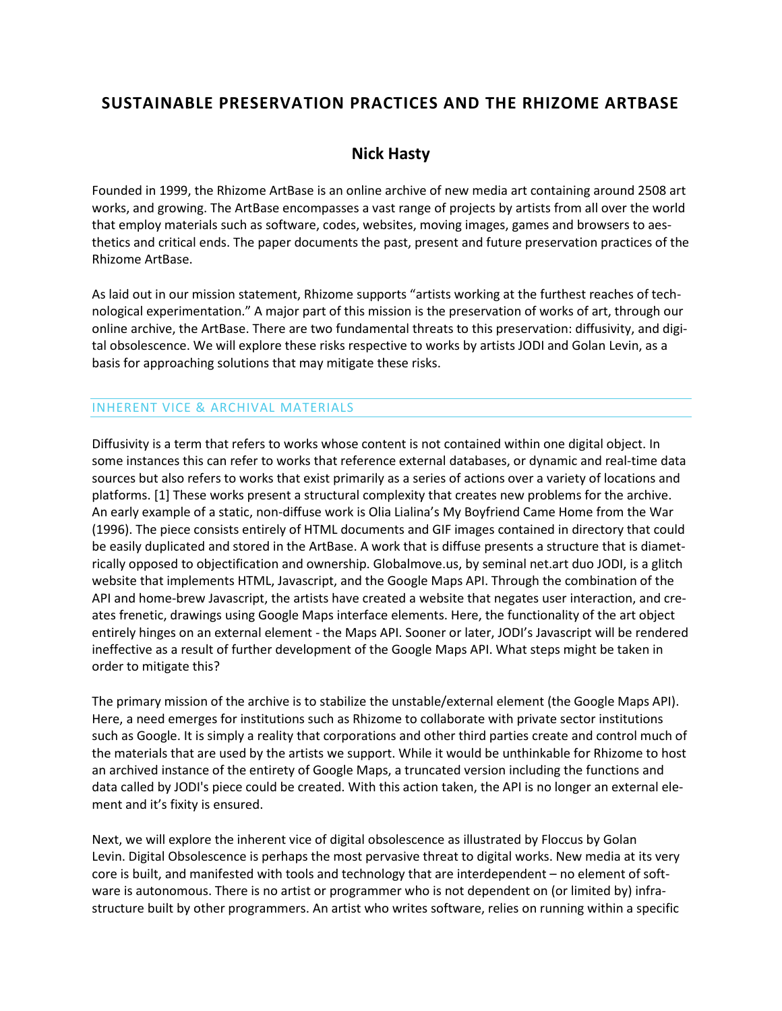# **SUSTAINABLE PRESERVATION PRACTICES AND THE RHIZOME ARTBASE**

## **[Nick Hasty](http://isea2011.sabanciuniv.edu/-217.html)**

Founded in 1999, the Rhizome ArtBase is an online archive of new media art containing around 2508 art works, and growing. The ArtBase encompasses a vast range of projects by artists from all over the world that employ materials such as software, codes, websites, moving images, games and browsers to aesthetics and critical ends. The paper documents the past, present and future preservation practices of the Rhizome ArtBase.

As laid out in our mission statement, Rhizome supports "artists working at the furthest reaches of technological experimentation." A major part of this mission is the preservation of works of art, through our online archive, the ArtBase. There are two fundamental threats to this preservation: diffusivity, and digital obsolescence. We will explore these risks respective to works by artists JODI and Golan Levin, as a basis for approaching solutions that may mitigate these risks.

#### INHERENT VICE & ARCHIVAL MATERIALS

Diffusivity is a term that refers to works whose content is not contained within one digital object. In some instances this can refer to works that reference external databases, or dynamic and real-time data sources but also refers to works that exist primarily as a series of actions over a variety of locations and platforms. [1] These works present a structural complexity that creates new problems for the archive. An early example of a static, non-diffuse work is Olia Lialina's My Boyfriend Came Home from the War (1996). The piece consists entirely of HTML documents and GIF images contained in directory that could be easily duplicated and stored in the ArtBase. A work that is diffuse presents a structure that is diametrically opposed to objectification and ownership. Globalmove.us, by seminal net.art duo JODI, is a glitch website that implements HTML, Javascript, and the Google Maps API. Through the combination of the API and home-brew Javascript, the artists have created a website that negates user interaction, and creates frenetic, drawings using Google Maps interface elements. Here, the functionality of the art object entirely hinges on an external element - the Maps API. Sooner or later, JODI's Javascript will be rendered ineffective as a result of further development of the Google Maps API. What steps might be taken in order to mitigate this?

The primary mission of the archive is to stabilize the unstable/external element (the Google Maps API). Here, a need emerges for institutions such as Rhizome to collaborate with private sector institutions such as Google. It is simply a reality that corporations and other third parties create and control much of the materials that are used by the artists we support. While it would be unthinkable for Rhizome to host an archived instance of the entirety of Google Maps, a truncated version including the functions and data called by JODI's piece could be created. With this action taken, the API is no longer an external element and it's fixity is ensured.

Next, we will explore the inherent vice of digital obsolescence as illustrated by Floccus by Golan Levin. Digital Obsolescence is perhaps the most pervasive threat to digital works. New media at its very core is built, and manifested with tools and technology that are interdependent – no element of software is autonomous. There is no artist or programmer who is not dependent on (or limited by) infrastructure built by other programmers. An artist who writes software, relies on running within a specific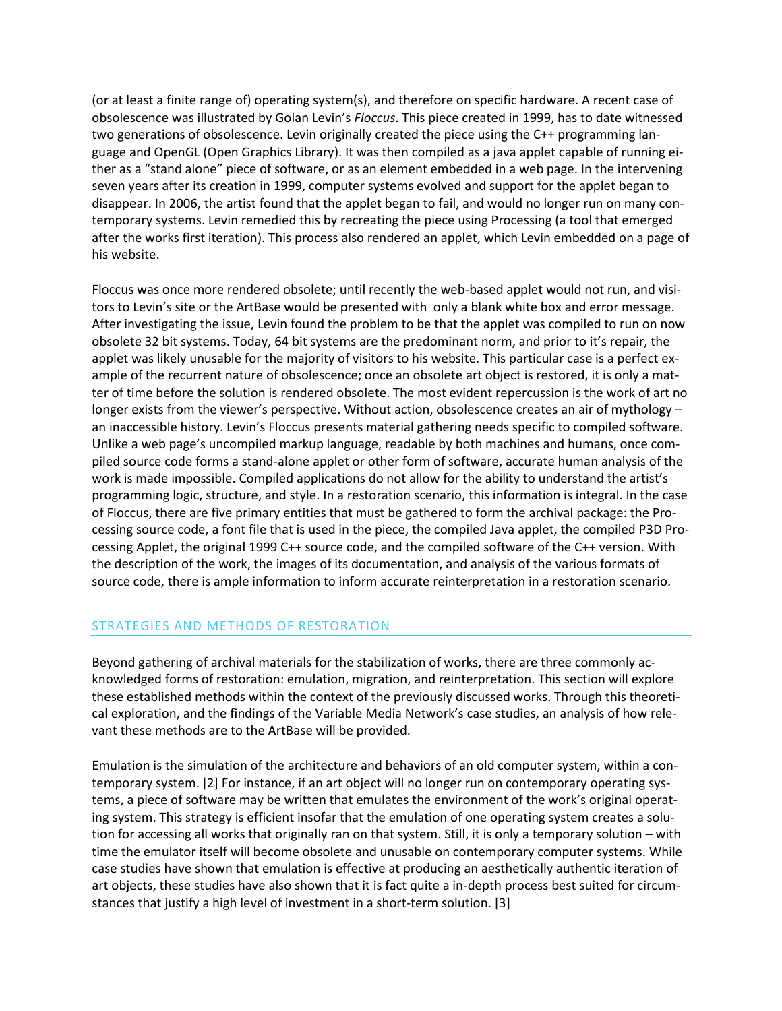(or at least a finite range of) operating system(s), and therefore on specific hardware. A recent case of obsolescence was illustrated by Golan Levin's *Floccus*. This piece created in 1999, has to date witnessed two generations of obsolescence. Levin originally created the piece using the C++ programming language and OpenGL (Open Graphics Library). It was then compiled as a java applet capable of running either as a "stand alone" piece of software, or as an element embedded in a web page. In the intervening seven years after its creation in 1999, computer systems evolved and support for the applet began to disappear. In 2006, the artist found that the applet began to fail, and would no longer run on many contemporary systems. Levin remedied this by recreating the piece using Processing (a tool that emerged after the works first iteration). This process also rendered an applet, which Levin embedded on a page of his website.

Floccus was once more rendered obsolete; until recently the web-based applet would not run, and visitors to Levin's site or the ArtBase would be presented with only a blank white box and error message. After investigating the issue, Levin found the problem to be that the applet was compiled to run on now obsolete 32 bit systems. Today, 64 bit systems are the predominant norm, and prior to it's repair, the applet was likely unusable for the majority of visitors to his website. This particular case is a perfect example of the recurrent nature of obsolescence; once an obsolete art object is restored, it is only a matter of time before the solution is rendered obsolete. The most evident repercussion is the work of art no longer exists from the viewer's perspective. Without action, obsolescence creates an air of mythology – an inaccessible history. Levin's Floccus presents material gathering needs specific to compiled software. Unlike a web page's uncompiled markup language, readable by both machines and humans, once compiled source code forms a stand-alone applet or other form of software, accurate human analysis of the work is made impossible. Compiled applications do not allow for the ability to understand the artist's programming logic, structure, and style. In a restoration scenario, this information is integral. In the case of Floccus, there are five primary entities that must be gathered to form the archival package: the Processing source code, a font file that is used in the piece, the compiled Java applet, the compiled P3D Processing Applet, the original 1999 C++ source code, and the compiled software of the C++ version. With the description of the work, the images of its documentation, and analysis of the various formats of source code, there is ample information to inform accurate reinterpretation in a restoration scenario.

### STRATEGIES AND METHODS OF RESTORATION

Beyond gathering of archival materials for the stabilization of works, there are three commonly acknowledged forms of restoration: emulation, migration, and reinterpretation. This section will explore these established methods within the context of the previously discussed works. Through this theoretical exploration, and the findings of the Variable Media Network's case studies, an analysis of how relevant these methods are to the ArtBase will be provided.

Emulation is the simulation of the architecture and behaviors of an old computer system, within a contemporary system. [2] For instance, if an art object will no longer run on contemporary operating systems, a piece of software may be written that emulates the environment of the work's original operating system. This strategy is efficient insofar that the emulation of one operating system creates a solution for accessing all works that originally ran on that system. Still, it is only a temporary solution – with time the emulator itself will become obsolete and unusable on contemporary computer systems. While case studies have shown that emulation is effective at producing an aesthetically authentic iteration of art objects, these studies have also shown that it is fact quite a in-depth process best suited for circumstances that justify a high level of investment in a short-term solution. [3]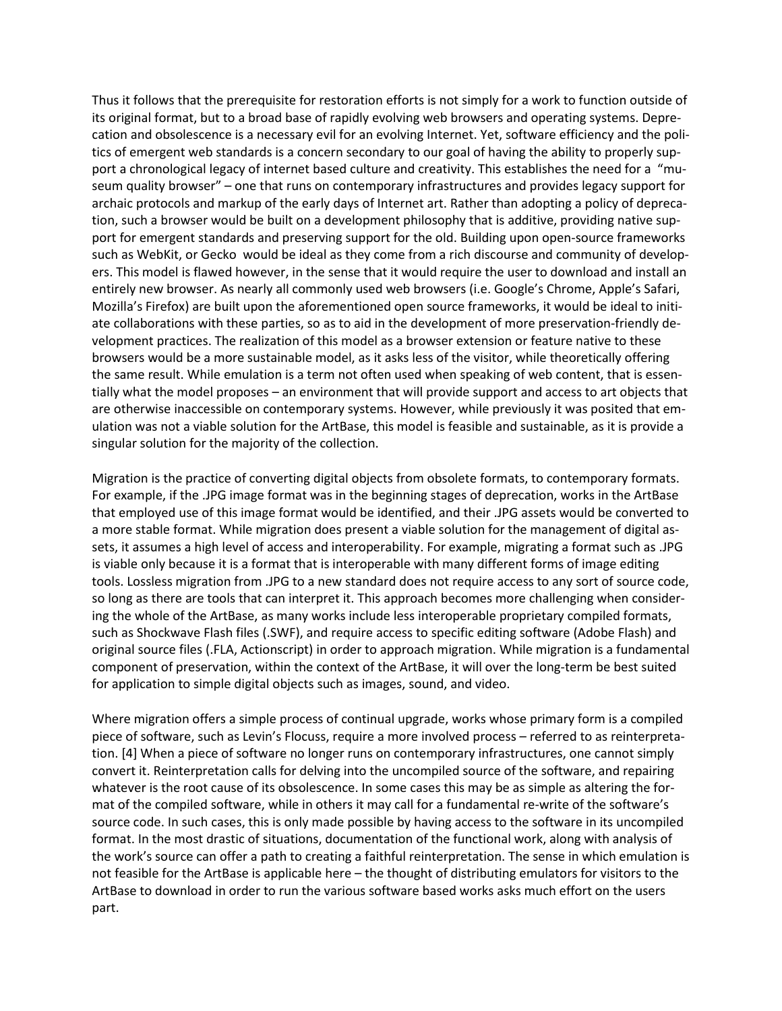Thus it follows that the prerequisite for restoration efforts is not simply for a work to function outside of its original format, but to a broad base of rapidly evolving web browsers and operating systems. Deprecation and obsolescence is a necessary evil for an evolving Internet. Yet, software efficiency and the politics of emergent web standards is a concern secondary to our goal of having the ability to properly support a chronological legacy of internet based culture and creativity. This establishes the need for a "museum quality browser" – one that runs on contemporary infrastructures and provides legacy support for archaic protocols and markup of the early days of Internet art. Rather than adopting a policy of deprecation, such a browser would be built on a development philosophy that is additive, providing native support for emergent standards and preserving support for the old. Building upon open-source frameworks such as WebKit, or Gecko would be ideal as they come from a rich discourse and community of developers. This model is flawed however, in the sense that it would require the user to download and install an entirely new browser. As nearly all commonly used web browsers (i.e. Google's Chrome, Apple's Safari, Mozilla's Firefox) are built upon the aforementioned open source frameworks, it would be ideal to initiate collaborations with these parties, so as to aid in the development of more preservation-friendly development practices. The realization of this model as a browser extension or feature native to these browsers would be a more sustainable model, as it asks less of the visitor, while theoretically offering the same result. While emulation is a term not often used when speaking of web content, that is essentially what the model proposes – an environment that will provide support and access to art objects that are otherwise inaccessible on contemporary systems. However, while previously it was posited that emulation was not a viable solution for the ArtBase, this model is feasible and sustainable, as it is provide a singular solution for the majority of the collection.

Migration is the practice of converting digital objects from obsolete formats, to contemporary formats. For example, if the .JPG image format was in the beginning stages of deprecation, works in the ArtBase that employed use of this image format would be identified, and their .JPG assets would be converted to a more stable format. While migration does present a viable solution for the management of digital assets, it assumes a high level of access and interoperability. For example, migrating a format such as .JPG is viable only because it is a format that is interoperable with many different forms of image editing tools. Lossless migration from .JPG to a new standard does not require access to any sort of source code, so long as there are tools that can interpret it. This approach becomes more challenging when considering the whole of the ArtBase, as many works include less interoperable proprietary compiled formats, such as Shockwave Flash files (.SWF), and require access to specific editing software (Adobe Flash) and original source files (.FLA, Actionscript) in order to approach migration. While migration is a fundamental component of preservation, within the context of the ArtBase, it will over the long-term be best suited for application to simple digital objects such as images, sound, and video.

Where migration offers a simple process of continual upgrade, works whose primary form is a compiled piece of software, such as Levin's Flocuss, require a more involved process – referred to as reinterpretation. [4] When a piece of software no longer runs on contemporary infrastructures, one cannot simply convert it. Reinterpretation calls for delving into the uncompiled source of the software, and repairing whatever is the root cause of its obsolescence. In some cases this may be as simple as altering the format of the compiled software, while in others it may call for a fundamental re-write of the software's source code. In such cases, this is only made possible by having access to the software in its uncompiled format. In the most drastic of situations, documentation of the functional work, along with analysis of the work's source can offer a path to creating a faithful reinterpretation. The sense in which emulation is not feasible for the ArtBase is applicable here – the thought of distributing emulators for visitors to the ArtBase to download in order to run the various software based works asks much effort on the users part.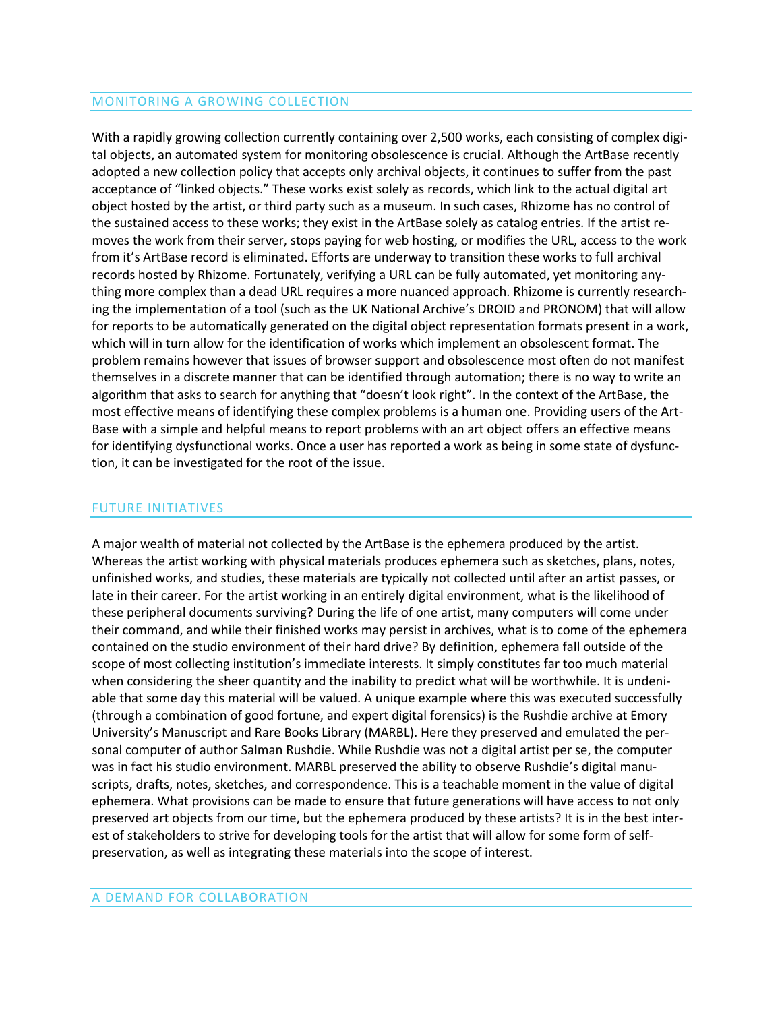#### MONITORING A GROWING COLLECTION

With a rapidly growing collection currently containing over 2,500 works, each consisting of complex digital objects, an automated system for monitoring obsolescence is crucial. Although the ArtBase recently adopted a new collection policy that accepts only archival objects, it continues to suffer from the past acceptance of "linked objects." These works exist solely as records, which link to the actual digital art object hosted by the artist, or third party such as a museum. In such cases, Rhizome has no control of the sustained access to these works; they exist in the ArtBase solely as catalog entries. If the artist removes the work from their server, stops paying for web hosting, or modifies the URL, access to the work from it's ArtBase record is eliminated. Efforts are underway to transition these works to full archival records hosted by Rhizome. Fortunately, verifying a URL can be fully automated, yet monitoring anything more complex than a dead URL requires a more nuanced approach. Rhizome is currently researching the implementation of a tool (such as the UK National Archive's DROID and PRONOM) that will allow for reports to be automatically generated on the digital object representation formats present in a work, which will in turn allow for the identification of works which implement an obsolescent format. The problem remains however that issues of browser support and obsolescence most often do not manifest themselves in a discrete manner that can be identified through automation; there is no way to write an algorithm that asks to search for anything that "doesn't look right". In the context of the ArtBase, the most effective means of identifying these complex problems is a human one. Providing users of the Art-Base with a simple and helpful means to report problems with an art object offers an effective means for identifying dysfunctional works. Once a user has reported a work as being in some state of dysfunction, it can be investigated for the root of the issue.

#### FUTURE INITIATIVES

A major wealth of material not collected by the ArtBase is the ephemera produced by the artist. Whereas the artist working with physical materials produces ephemera such as sketches, plans, notes, unfinished works, and studies, these materials are typically not collected until after an artist passes, or late in their career. For the artist working in an entirely digital environment, what is the likelihood of these peripheral documents surviving? During the life of one artist, many computers will come under their command, and while their finished works may persist in archives, what is to come of the ephemera contained on the studio environment of their hard drive? By definition, ephemera fall outside of the scope of most collecting institution's immediate interests. It simply constitutes far too much material when considering the sheer quantity and the inability to predict what will be worthwhile. It is undeniable that some day this material will be valued. A unique example where this was executed successfully (through a combination of good fortune, and expert digital forensics) is the Rushdie archive at Emory University's Manuscript and Rare Books Library (MARBL). Here they preserved and emulated the personal computer of author Salman Rushdie. While Rushdie was not a digital artist per se, the computer was in fact his studio environment. MARBL preserved the ability to observe Rushdie's digital manuscripts, drafts, notes, sketches, and correspondence. This is a teachable moment in the value of digital ephemera. What provisions can be made to ensure that future generations will have access to not only preserved art objects from our time, but the ephemera produced by these artists? It is in the best interest of stakeholders to strive for developing tools for the artist that will allow for some form of selfpreservation, as well as integrating these materials into the scope of interest.